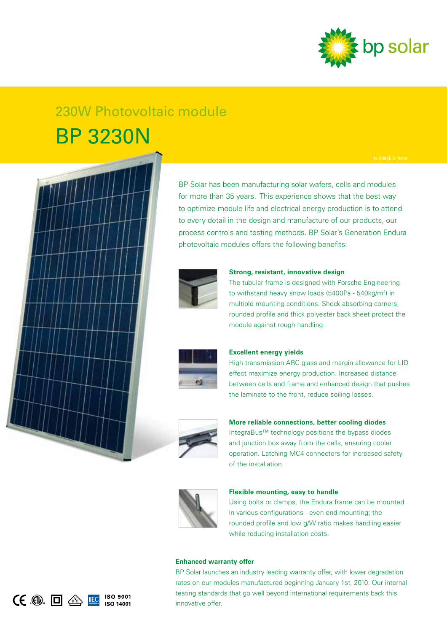

# 230W Photovoltaic module BP 3230N



( $\epsilon$  .  $\Box$  企 <mark>IC</mark> ISO 9001

BP Solar has been manufacturing solar wafers, cells and modules for more than 35 years. This experience shows that the best way to optimize module life and electrical energy production is to attend to every detail in the design and manufacture of our products, our process controls and testing methods. BP Solar's Generation Endura photovoltaic modules offers the following benefits:



#### **Strong, resistant, innovative design**

The tubular frame is designed with Porsche Engineering to withstand heavy snow loads (5400Pa - 540kg/m<sup>2</sup>) in multiple mounting conditions. Shock absorbing corners, rounded profile and thick polyester back sheet protect the module against rough handling.



### **Excellent energy yields**

High transmission ARC glass and margin allowance for LID effect maximize energy production. Increased distance between cells and frame and enhanced design that pushes the laminate to the front, reduce soiling losses.



### **More reliable connections, better cooling diodes**

IntegraBus™ technology positions the bypass diodes and junction box away from the cells, ensuring cooler operation. Latching MC4 connectors for increased safety of the installation.



### **Flexible mounting, easy to handle**

Using bolts or clamps, the Endura frame can be mounted in various configurations - even end-mounting; the rounded profile and low g/W ratio makes handling easier while reducing installation costs.

### **Enhanced warranty offer**

BP Solar launches an industry leading warranty offer, with lower degradation rates on our modules manufactured beginning January 1st, 2010. Our internal testing standards that go well beyond international requirements back this innovative offer.